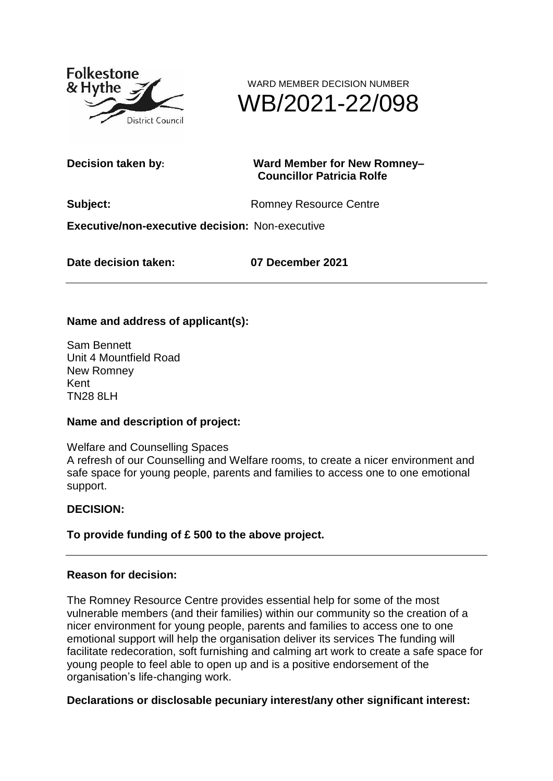



#### **Decision taken by: Ward Member for New Romney– Councillor Patricia Rolfe**

**Subject:** Romney Resource Centre

**Executive/non-executive decision:** Non-executive

**Date decision taken: 07 December 2021**

# **Name and address of applicant(s):**

Sam Bennett Unit 4 Mountfield Road New Romney Kent TN28 8LH

## **Name and description of project:**

Welfare and Counselling Spaces A refresh of our Counselling and Welfare rooms, to create a nicer environment and safe space for young people, parents and families to access one to one emotional support.

## **DECISION:**

## **To provide funding of £ 500 to the above project.**

#### **Reason for decision:**

The Romney Resource Centre provides essential help for some of the most vulnerable members (and their families) within our community so the creation of a nicer environment for young people, parents and families to access one to one emotional support will help the organisation deliver its services The funding will facilitate redecoration, soft furnishing and calming art work to create a safe space for young people to feel able to open up and is a positive endorsement of the organisation's life-changing work.

#### **Declarations or disclosable pecuniary interest/any other significant interest:**